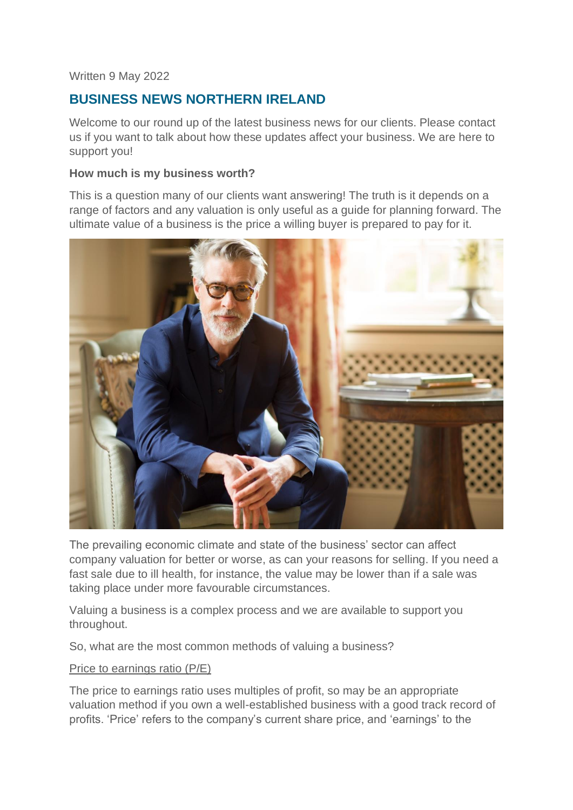### Written 9 May 2022

# **BUSINESS NEWS NORTHERN IRELAND**

Welcome to our round up of the latest business news for our clients. Please contact us if you want to talk about how these updates affect your business. We are here to support you!

### **How much is my business worth?**

This is a question many of our clients want answering! The truth is it depends on a range of factors and any valuation is only useful as a guide for planning forward. The ultimate value of a business is the price a willing buyer is prepared to pay for it.



The prevailing economic climate and state of the business' sector can affect company valuation for better or worse, as can your reasons for selling. If you need a fast sale due to ill health, for instance, the value may be lower than if a sale was taking place under more favourable circumstances.

Valuing a business is a complex process and we are available to support you throughout.

So, what are the most common methods of valuing a business?

### Price to earnings ratio (P/E)

The price to earnings ratio uses multiples of profit, so may be an appropriate valuation method if you own a well-established business with a good track record of profits. 'Price' refers to the company's current share price, and 'earnings' to the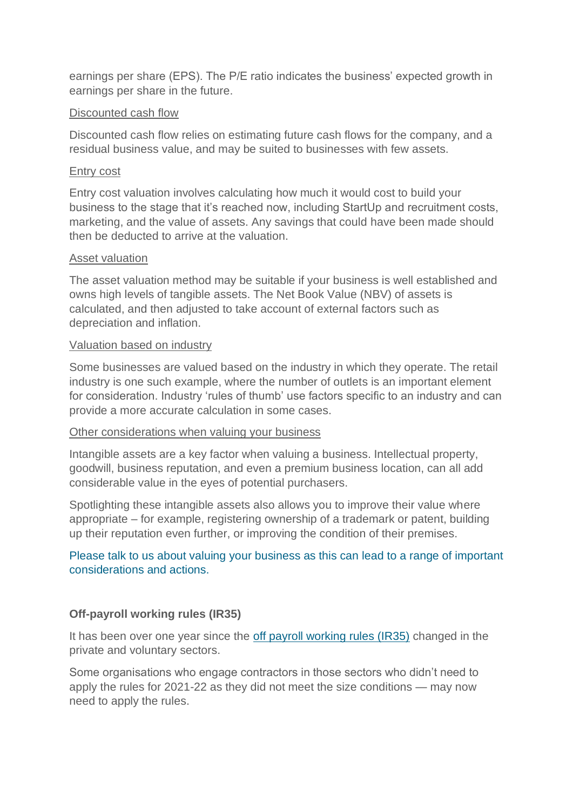earnings per share (EPS). The P/E ratio indicates the business' expected growth in earnings per share in the future.

### Discounted cash flow

Discounted cash flow relies on estimating future cash flows for the company, and a residual business value, and may be suited to businesses with few assets.

#### Entry cost

Entry cost valuation involves calculating how much it would cost to build your business to the stage that it's reached now, including StartUp and recruitment costs, marketing, and the value of assets. Any savings that could have been made should then be deducted to arrive at the valuation.

#### Asset valuation

The asset valuation method may be suitable if your business is well established and owns high levels of tangible assets. The Net Book Value (NBV) of assets is calculated, and then adjusted to take account of external factors such as depreciation and inflation.

#### Valuation based on industry

Some businesses are valued based on the industry in which they operate. The retail industry is one such example, where the number of outlets is an important element for consideration. Industry 'rules of thumb' use factors specific to an industry and can provide a more accurate calculation in some cases.

### Other considerations when valuing your business

Intangible assets are a key factor when valuing a business. Intellectual property, goodwill, business reputation, and even a premium business location, can all add considerable value in the eyes of potential purchasers.

Spotlighting these intangible assets also allows you to improve their value where appropriate – for example, registering ownership of a trademark or patent, building up their reputation even further, or improving the condition of their premises.

# Please talk to us about valuing your business as this can lead to a range of important considerations and actions.

### **Off-payroll working rules (IR35)**

It has been over one year since the [off payroll working rules \(IR35\)](https://www.gov.uk/topic/business-tax/ir35) changed in the private and voluntary sectors.

Some organisations who engage contractors in those sectors who didn't need to apply the rules for 2021-22 as they did not meet the size conditions — may now need to apply the rules.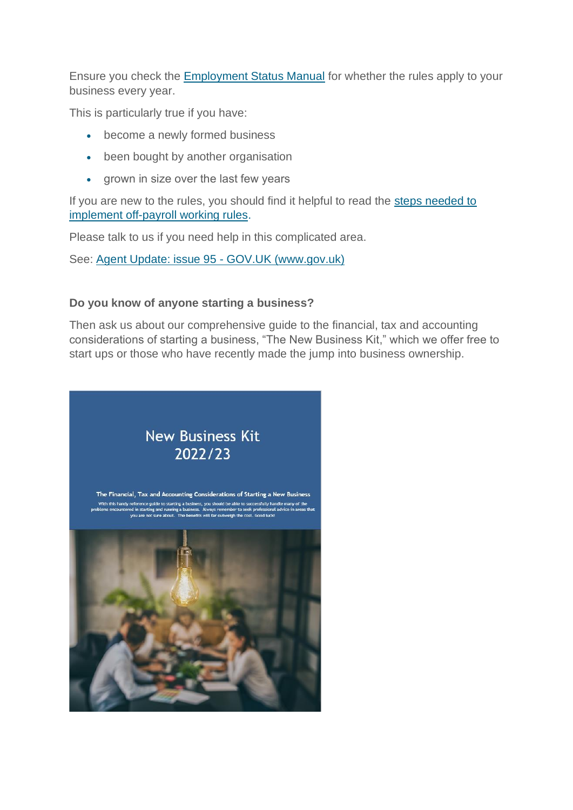Ensure you check the [Employment Status Manual](https://www.gov.uk/hmrc-internal-manuals/employment-status-manual/esm10006) for whether the rules apply to your business every year.

This is particularly true if you have:

- become a newly formed business
- been bought by another organisation
- grown in size over the last few years

If you are new to the rules, you should find it helpful to read the steps needed to [implement off-payroll working rules.](https://www.gov.uk/guidance/prepare-for-changes-to-the-off-payroll-working-rules-ir35)

Please talk to us if you need help in this complicated area.

See: [Agent Update: issue 95 -](https://www.gov.uk/government/publications/agent-update-issue-95/agent-update-issue-95#ir35) GOV.UK (www.gov.uk)

# **Do you know of anyone starting a business?**

Then ask us about our comprehensive guide to the financial, tax and accounting considerations of starting a business, "The New Business Kit," which we offer free to start ups or those who have recently made the jump into business ownership.

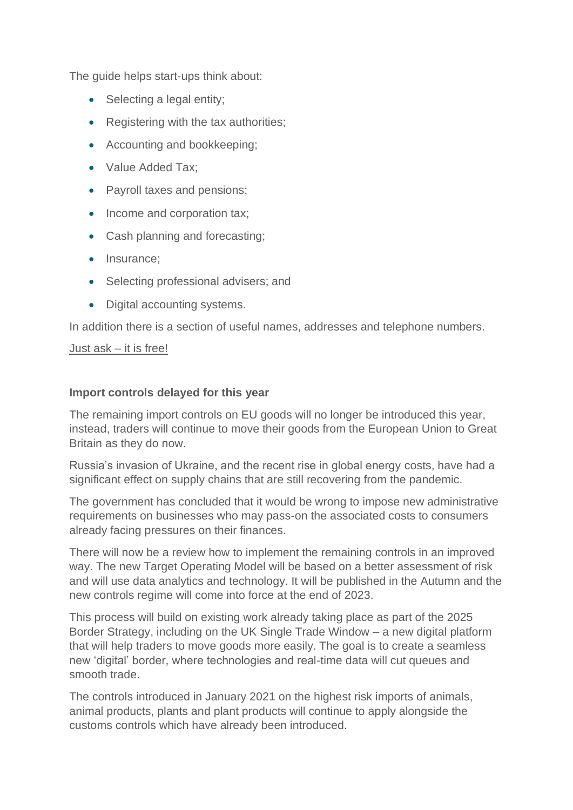The guide helps start-ups think about:

- Selecting a legal entity;
- Registering with the tax authorities:
- Accounting and bookkeeping;
- Value Added Tax:
- Payroll taxes and pensions:
- Income and corporation tax;
- Cash planning and forecasting;
- Insurance:
- Selecting professional advisers; and
- Digital accounting systems.

In addition there is a section of useful names, addresses and telephone numbers.

### Just ask – it is free!

# **Import controls delayed for this year**

The remaining import controls on EU goods will no longer be introduced this year, instead, traders will continue to move their goods from the European Union to Great Britain as they do now.

Russia's invasion of Ukraine, and the recent rise in global energy costs, have had a significant effect on supply chains that are still recovering from the pandemic.

The government has concluded that it would be wrong to impose new administrative requirements on businesses who may pass-on the associated costs to consumers already facing pressures on their finances.

There will now be a review how to implement the remaining controls in an improved way. The new Target Operating Model will be based on a better assessment of risk and will use data analytics and technology. It will be published in the Autumn and the new controls regime will come into force at the end of 2023.

This process will build on existing work already taking place as part of the 2025 Border Strategy, including on the UK Single Trade Window – a new digital platform that will help traders to move goods more easily. The goal is to create a seamless new 'digital' border, where technologies and real-time data will cut queues and smooth trade.

The controls introduced in January 2021 on the highest risk imports of animals, animal products, plants and plant products will continue to apply alongside the customs controls which have already been introduced.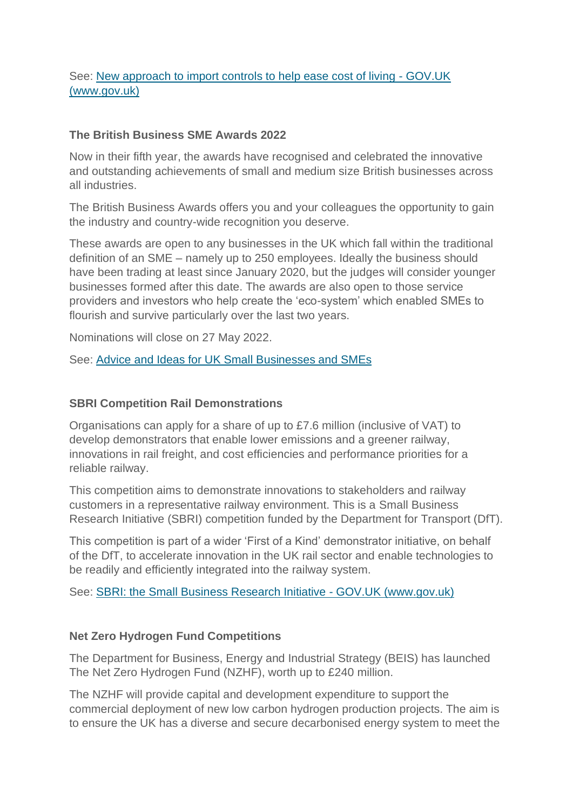# See: [New approach to import controls to help ease cost of living -](https://www.gov.uk/government/news/new-approach-to-import-controls-to-help-ease-cost-of-living) GOV.UK [\(www.gov.uk\)](https://www.gov.uk/government/news/new-approach-to-import-controls-to-help-ease-cost-of-living)

### **The British Business SME Awards 2022**

Now in their fifth year, the awards have recognised and celebrated the innovative and outstanding achievements of small and medium size British businesses across all industries.

The British Business Awards offers you and your colleagues the opportunity to gain the industry and country-wide recognition you deserve.

These awards are open to any businesses in the UK which fall within the traditional definition of an SME – namely up to 250 employees. Ideally the business should have been trading at least since January 2020, but the judges will consider younger businesses formed after this date. The awards are also open to those service providers and investors who help create the 'eco-system' which enabled SMEs to flourish and survive particularly over the last two years.

Nominations will close on 27 May 2022.

See: [Advice and Ideas for UK Small Businesses and SMEs](https://smallbusiness.co.uk/)

### **SBRI Competition Rail Demonstrations**

Organisations can apply for a share of up to £7.6 million (inclusive of VAT) to develop demonstrators that enable lower emissions and a greener railway, innovations in rail freight, and cost efficiencies and performance priorities for a reliable railway.

This competition aims to demonstrate innovations to stakeholders and railway customers in a representative railway environment. This is a Small Business Research Initiative (SBRI) competition funded by the Department for Transport (DfT).

This competition is part of a wider 'First of a Kind' demonstrator initiative, on behalf of the DfT, to accelerate innovation in the UK rail sector and enable technologies to be readily and efficiently integrated into the railway system.

See: [SBRI: the Small Business Research Initiative -](https://www.gov.uk/government/collections/sbri-the-small-business-research-initiative) GOV.UK (www.gov.uk)

# **Net Zero Hydrogen Fund Competitions**

The Department for Business, Energy and Industrial Strategy (BEIS) has launched The Net Zero Hydrogen Fund (NZHF), worth up to £240 million.

The NZHF will provide capital and development expenditure to support the commercial deployment of new low carbon hydrogen production projects. The aim is to ensure the UK has a diverse and secure decarbonised energy system to meet the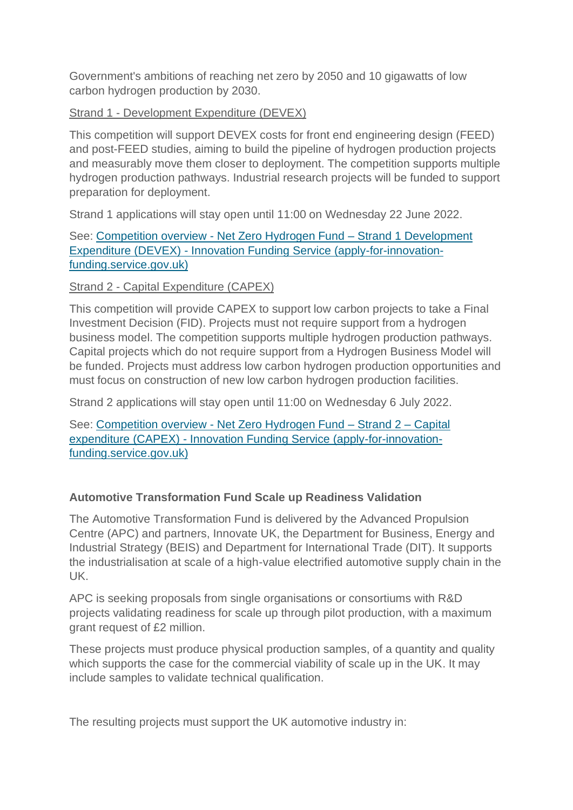Government's ambitions of reaching net zero by 2050 and 10 gigawatts of low carbon hydrogen production by 2030.

# Strand 1 - Development Expenditure (DEVEX)

This competition will support DEVEX costs for front end engineering design (FEED) and post-FEED studies, aiming to build the pipeline of hydrogen production projects and measurably move them closer to deployment. The competition supports multiple hydrogen production pathways. Industrial research projects will be funded to support preparation for deployment.

Strand 1 applications will stay open until 11:00 on Wednesday 22 June 2022.

See: Competition overview - [Net Zero Hydrogen Fund –](https://apply-for-innovation-funding.service.gov.uk/competition/1150/overview) Strand 1 Development Expenditure (DEVEX) - [Innovation Funding Service \(apply-for-innovation](https://apply-for-innovation-funding.service.gov.uk/competition/1150/overview)[funding.service.gov.uk\)](https://apply-for-innovation-funding.service.gov.uk/competition/1150/overview)

# Strand 2 - Capital Expenditure (CAPEX)

This competition will provide CAPEX to support low carbon projects to take a Final Investment Decision (FID). Projects must not require support from a hydrogen business model. The competition supports multiple hydrogen production pathways. Capital projects which do not require support from a Hydrogen Business Model will be funded. Projects must address low carbon hydrogen production opportunities and must focus on construction of new low carbon hydrogen production facilities.

Strand 2 applications will stay open until 11:00 on Wednesday 6 July 2022.

See: Competition overview - [Net Zero Hydrogen Fund –](https://apply-for-innovation-funding.service.gov.uk/competition/1151/overview) Strand 2 – Capital expenditure (CAPEX) - [Innovation Funding Service \(apply-for-innovation](https://apply-for-innovation-funding.service.gov.uk/competition/1151/overview)[funding.service.gov.uk\)](https://apply-for-innovation-funding.service.gov.uk/competition/1151/overview)

# **Automotive Transformation Fund Scale up Readiness Validation**

The Automotive Transformation Fund is delivered by the Advanced Propulsion Centre (APC) and partners, Innovate UK, the Department for Business, Energy and Industrial Strategy (BEIS) and Department for International Trade (DIT). It supports the industrialisation at scale of a high-value electrified automotive supply chain in the UK.

APC is seeking proposals from single organisations or consortiums with R&D projects validating readiness for scale up through pilot production, with a maximum grant request of £2 million.

These projects must produce physical production samples, of a quantity and quality which supports the case for the commercial viability of scale up in the UK. It may include samples to validate technical qualification.

The resulting projects must support the UK automotive industry in: